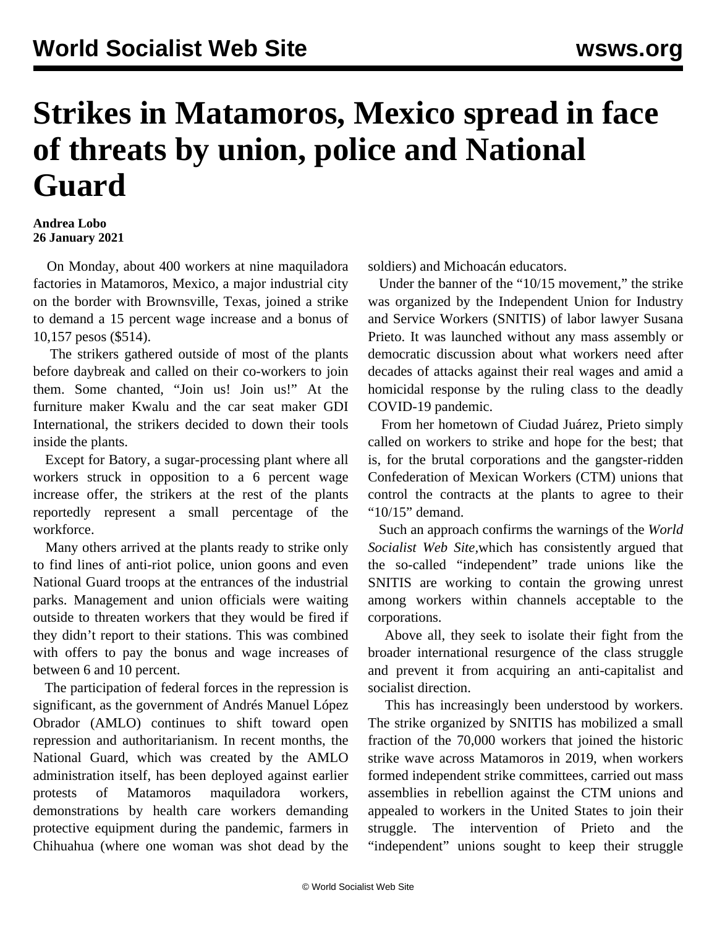## **Strikes in Matamoros, Mexico spread in face of threats by union, police and National Guard**

## **Andrea Lobo 26 January 2021**

 On Monday, about 400 workers at nine maquiladora factories in Matamoros, Mexico, a major industrial city on the border with Brownsville, Texas, joined a strike to demand a 15 percent wage increase and a bonus of 10,157 pesos (\$514).

 The strikers gathered outside of most of the plants before daybreak and called on their co-workers to join them. Some chanted, "Join us! Join us!" At the furniture maker Kwalu and the car seat maker GDI International, the strikers decided to down their tools inside the plants.

 Except for Batory, a sugar-processing plant where all workers struck in opposition to a 6 percent wage increase offer, the strikers at the rest of the plants reportedly represent a small percentage of the workforce.

 Many others arrived at the plants ready to strike only to find lines of anti-riot police, union goons and even National Guard troops at the entrances of the industrial parks. Management and union officials were waiting outside to threaten workers that they would be fired if they didn't report to their stations. This was combined with offers to pay the bonus and wage increases of between 6 and 10 percent.

 The participation of federal forces in the repression is significant, as the government of Andrés Manuel López Obrador (AMLO) continues to shift toward open repression and authoritarianism. In recent months, the National Guard, which was created by the AMLO administration itself, has been deployed against earlier protests of Matamoros maquiladora workers, demonstrations by health care workers demanding protective equipment during the pandemic, farmers in Chihuahua (where one woman was shot dead by the

soldiers) and Michoacán educators.

 Under the banner of the "10/15 movement," the strike was organized by the Independent Union for Industry and Service Workers (SNITIS) of labor lawyer Susana Prieto. It was launched without any mass assembly or democratic discussion about what workers need after decades of attacks against their real wages and amid a homicidal response by the ruling class to the deadly COVID-19 pandemic.

 From her hometown of Ciudad Juárez, Prieto simply called on workers to strike and hope for the best; that is, for the brutal corporations and the gangster-ridden Confederation of Mexican Workers (CTM) unions that control the contracts at the plants to agree to their "10/15" demand.

 Such an approach confirms the warnings of the *World Socialist Web Site,*which has consistently argued that the so-called "independent" trade unions like the SNITIS are working to contain the growing unrest among workers within channels acceptable to the corporations.

 Above all, they seek to isolate their fight from the broader international resurgence of the class struggle and prevent it from acquiring an anti-capitalist and socialist direction.

 This has increasingly been understood by workers. The strike organized by SNITIS has mobilized a small fraction of the 70,000 workers that joined the historic strike wave across Matamoros in 2019, when workers formed independent strike committees, carried out mass assemblies in rebellion against the CTM unions and appealed to workers in the United States to join their struggle. The intervention of Prieto and the "independent" unions sought to keep their struggle